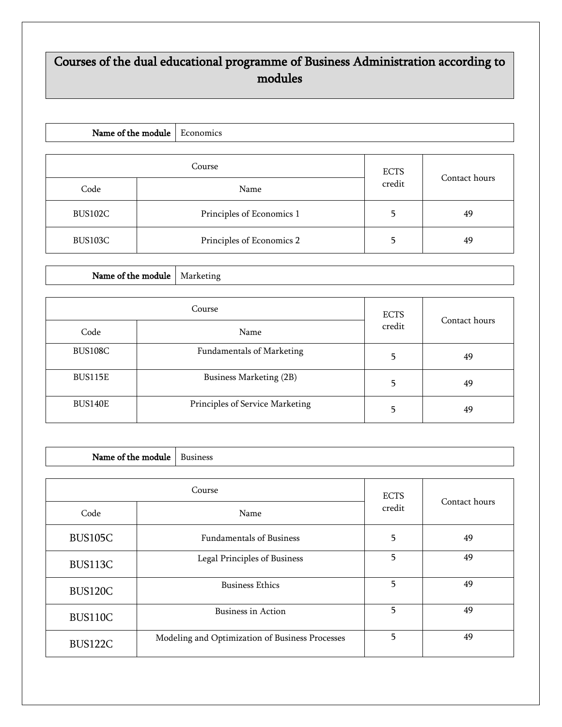## Courses of the dual educational programme of Business Administration according to modules

| Name of the module |  | Economics                 |        |               |
|--------------------|--|---------------------------|--------|---------------|
|                    |  | <b>ECTS</b>               |        |               |
| Code               |  | Name                      | credit | Contact hours |
| BUS102C            |  | Principles of Economics 1 |        | 49            |
| BUS103C            |  | Principles of Economics 2 |        | 49            |

Name of the module  $\Big|$  Marketing

|                | Course                           | <b>ECTS</b><br>credit | Contact hours |
|----------------|----------------------------------|-----------------------|---------------|
| Code           | Name                             |                       |               |
| BUS108C        | <b>Fundamentals of Marketing</b> |                       | 49            |
| BUS115E        | Business Marketing (2B)          | 5                     | 49            |
| <b>BUS140E</b> | Principles of Service Marketing  |                       | 49            |

| Name of the module     |  | <b>Business</b>                                 |               |    |
|------------------------|--|-------------------------------------------------|---------------|----|
|                        |  |                                                 |               |    |
| Course<br>Code<br>Name |  | <b>ECTS</b><br>credit                           | Contact hours |    |
| <b>BUS105C</b>         |  | <b>Fundamentals of Business</b>                 | 5             | 49 |
| BUS113C                |  | Legal Principles of Business                    | 5             | 49 |
| <b>BUS120C</b>         |  | <b>Business Ethics</b>                          | 5             | 49 |
| <b>BUS110C</b>         |  | Business in Action                              | 5             | 49 |
| BUS122C                |  | Modeling and Optimization of Business Processes | 5             | 49 |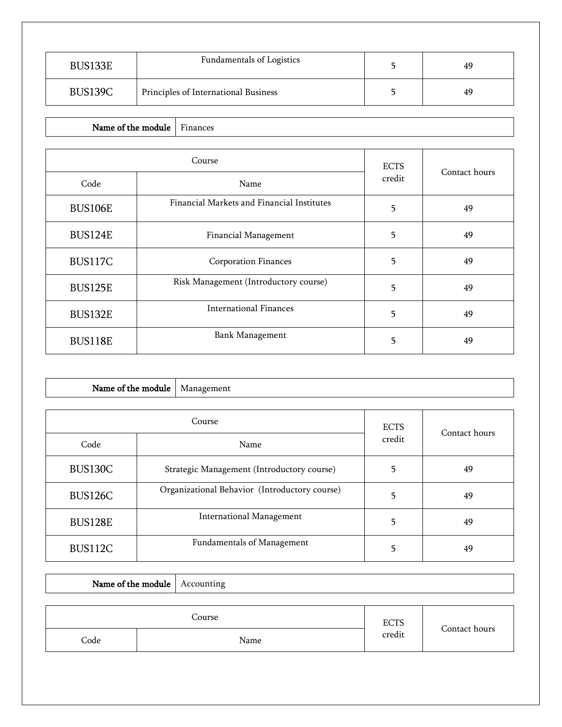| BUS133E | Fundamentals of Logistics            | 49 |
|---------|--------------------------------------|----|
| BUS139C | Principles of International Business | 49 |

## Name of the module  $\vert$  Finances

|                | Course                                     | <b>ECTS</b> | Contact hours |
|----------------|--------------------------------------------|-------------|---------------|
| Code           | Name                                       | credit      |               |
| <b>BUS106E</b> | Financial Markets and Financial Institutes | 5           | 49            |
| <b>BUS124E</b> | Financial Management                       | 5           | 49            |
| <b>BUS117C</b> | <b>Corporation Finances</b>                | 5           | 49            |
| <b>BUS125E</b> | Risk Management (Introductory course)      | 5           | 49            |
| BUS132E        | <b>International Finances</b>              | 5           | 49            |
| <b>BUS118E</b> | <b>Bank Management</b>                     | 5           | 49            |

| Name of the module                                              |                                 | Management                                 |               |    |
|-----------------------------------------------------------------|---------------------------------|--------------------------------------------|---------------|----|
|                                                                 |                                 |                                            |               |    |
| Course                                                          |                                 | <b>ECTS</b>                                | Contact hours |    |
| Code                                                            | Name                            |                                            | credit        |    |
| BUS130C                                                         |                                 | Strategic Management (Introductory course) |               | 49 |
| Organizational Behavior (Introductory course)<br><b>BUS126C</b> |                                 | 5                                          | 49            |    |
| <b>BUS128E</b>                                                  | <b>International Management</b> |                                            | 5             | 49 |
| BUS112C                                                         |                                 | <b>Fundamentals of Management</b>          | 5             | 49 |

|      | Name of the module   Accounting |             |               |
|------|---------------------------------|-------------|---------------|
|      |                                 |             |               |
|      | Course                          | <b>ECTS</b> | Contact hours |
| Code | Name                            | credit      |               |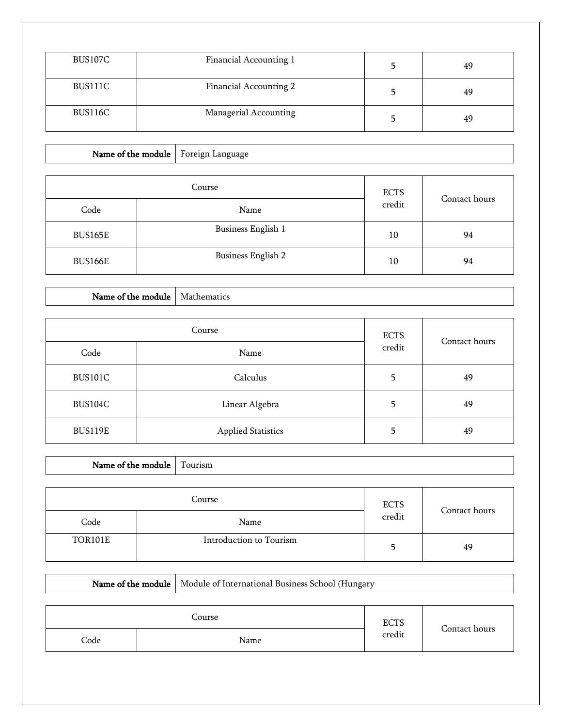| BUS107C | Financial Accounting 1 | 49 |
|---------|------------------------|----|
| BUS111C | Financial Accounting 2 | 49 |
| BUS116C | Managerial Accounting  | 49 |

## Name of the module  $\Big|$  Foreign Language

| Course         |                           | <b>ECTS</b> | Contact hours |
|----------------|---------------------------|-------------|---------------|
| Code           | Name                      | credit      |               |
| BUS165E        | <b>Business English 1</b> | 10          | 94            |
| <b>BUS166E</b> | <b>Business English 2</b> | 10          | 94            |

## Name of the module  $\vert$  Mathematics

 $\overline{\Gamma}$ 

| Course         |                           | <b>ECTS</b> |               |
|----------------|---------------------------|-------------|---------------|
| Code           | Name                      | credit      | Contact hours |
| BUS101C        | Calculus                  | 5           | 49            |
| BUS104C        | Linear Algebra            | 5           | 49            |
| <b>BUS119E</b> | <b>Applied Statistics</b> | 5           | 49            |

| Name of the module   Tourism |  |                         |        |               |
|------------------------------|--|-------------------------|--------|---------------|
|                              |  |                         |        |               |
| Course                       |  | <b>ECTS</b>             |        |               |
| Code                         |  | Name                    | credit | Contact hours |
| <b>TOR101E</b>               |  | Introduction to Tourism |        | 49            |

|                       |  | Name of the module   Module of International Business School (Hungary |               |  |
|-----------------------|--|-----------------------------------------------------------------------|---------------|--|
| Course<br><b>ECTS</b> |  |                                                                       | Contact hours |  |
| Code                  |  | Name                                                                  | credit        |  |